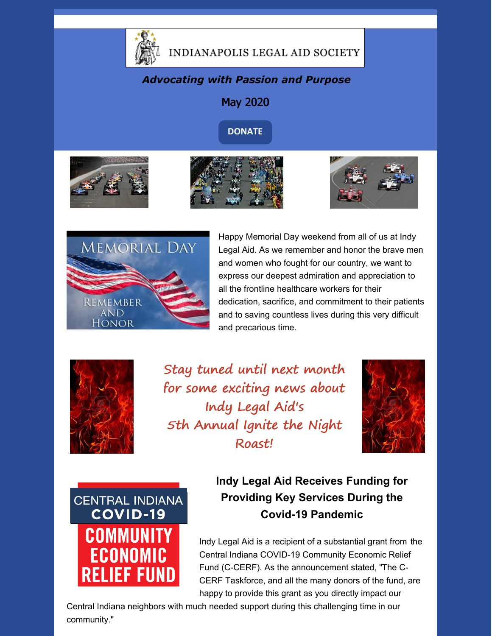

### INDIANAPOLIS LEGAL AID SOCIETY

#### *Advocating with Passion and Purpose*



**[DONATE](https://www.indylas.org/support-legal-aid)**









Happy Memorial Day weekend from all of us at Indy Legal Aid. As we remember and honor the brave men and women who fought for our country, we want to express our deepest admiration and appreciation to all the frontline healthcare workers for their dedication, sacrifice, and commitment to their patients and to saving countless lives during this very difficult and precarious time.



Stay tuned until next month for some exciting news about Indy Legal Aid's 5th Annual Ignite the Night Roast!





**Indy Legal Aid Receives Funding for Providing Key Services During the Covid-19 Pandemic**

Indy Legal Aid is a recipient of a substantial grant from the Central Indiana COVID-19 Community Economic Relief Fund (C-CERF). As the announcement stated, "The C-CERF Taskforce, and all the many donors of the fund, are happy to provide this grant as you directly impact our

Central Indiana neighbors with much needed support during this challenging time in our community."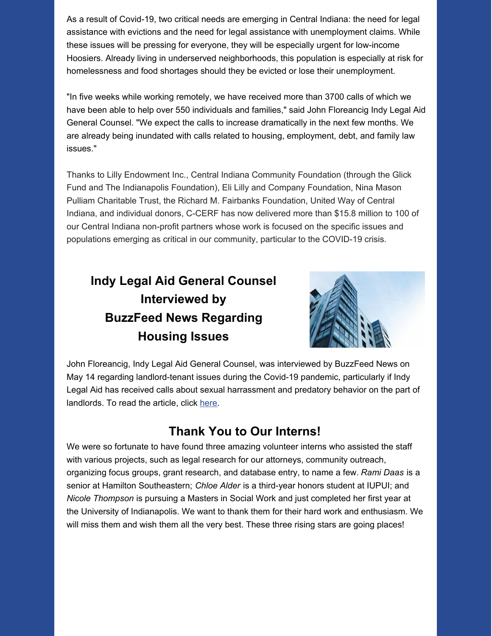As a result of Covid-19, two critical needs are emerging in Central Indiana: the need for legal assistance with evictions and the need for legal assistance with unemployment claims. While these issues will be pressing for everyone, they will be especially urgent for low-income Hoosiers. Already living in underserved neighborhoods, this population is especially at risk for homelessness and food shortages should they be evicted or lose their unemployment.

"In five weeks while working remotely, we have received more than 3700 calls of which we have been able to help over 550 individuals and families," said John Floreancig Indy Legal Aid General Counsel. "We expect the calls to increase dramatically in the next few months. We are already being inundated with calls related to housing, employment, debt, and family law issues."

Thanks to Lilly Endowment Inc., Central Indiana Community Foundation (through the Glick Fund and The Indianapolis Foundation), Eli Lilly and Company Foundation, Nina Mason Pulliam Charitable Trust, the Richard M. Fairbanks Foundation, United Way of Central Indiana, and individual donors, C-CERF has now delivered more than \$15.8 million to 100 of our Central Indiana non-profit partners whose work is focused on the specific issues and populations emerging as critical in our community, particular to the COVID-19 crisis.

### **Indy Legal Aid General Counsel Interviewed by BuzzFeed News Regarding Housing Issues**



John Floreancig, Indy Legal Aid General Counsel, was interviewed by BuzzFeed News on May 14 regarding landlord-tenant issues during the Covid-19 pandemic, particularly if Indy Legal Aid has received calls about sexual harrassment and predatory behavior on the part of landlords. To read the article, click [here](https://www.buzzfeednews.com/article/amberjamieson/renter-sexually-harassed-by-landlord-during-coronavirus).

#### **Thank You to Our Interns!**

We were so fortunate to have found three amazing volunteer interns who assisted the staff with various projects, such as legal research for our attorneys, community outreach, organizing focus groups, grant research, and database entry, to name a few. *Rami Daas* is a senior at Hamilton Southeastern; *Chloe Alder* is a third-year honors student at IUPUI; and *Nicole Thompson* is pursuing a Masters in Social Work and just completed her first year at the University of Indianapolis. We want to thank them for their hard work and enthusiasm. We will miss them and wish them all the very best. These three rising stars are going places!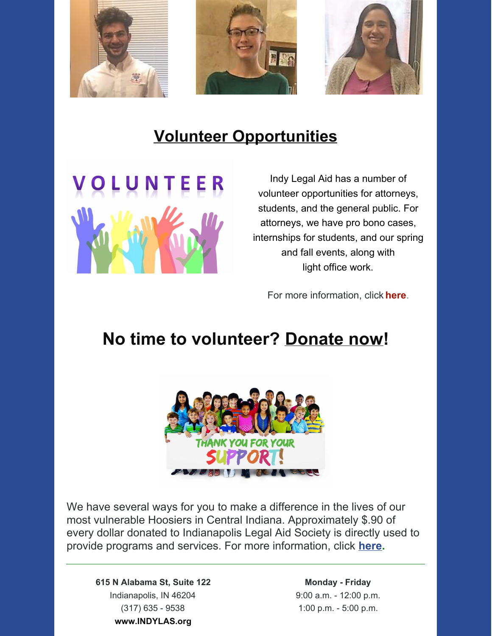

## **Volunteer Opportunities**



Indy Legal Aid has a number of volunteer opportunities for attorneys, students, and the general public. For attorneys, we have pro bono cases, internships for students, and our spring and fall events, along with light office work.

For more information, click **[here](https://www.indylas.org/volunteering)**[.](https://www.indylas.org/volunteering)

# **No time to volunteer? [Donate](https://interland3.donorperfect.net/weblink/weblink.aspx?name=E5192&id=1) now!**



We have several ways for you to make a difference in the lives of our most vulnerable Hoosiers in Central Indiana. Approximately \$.90 of every dollar donated to Indianapolis Legal Aid Society is directly used to provide programs and services. For more information, click **[here](https://www.indylas.org/support-legal-aid).**

**615 N Alabama St, Suite 122** Indianapolis, IN 46204 (317) 635 - 9538 **[www.INDYLAS.org](http://www.indylas.org/)**

**Monday - Friday** 9:00 a.m. - 12:00 p.m. 1:00 p.m. - 5:00 p.m.